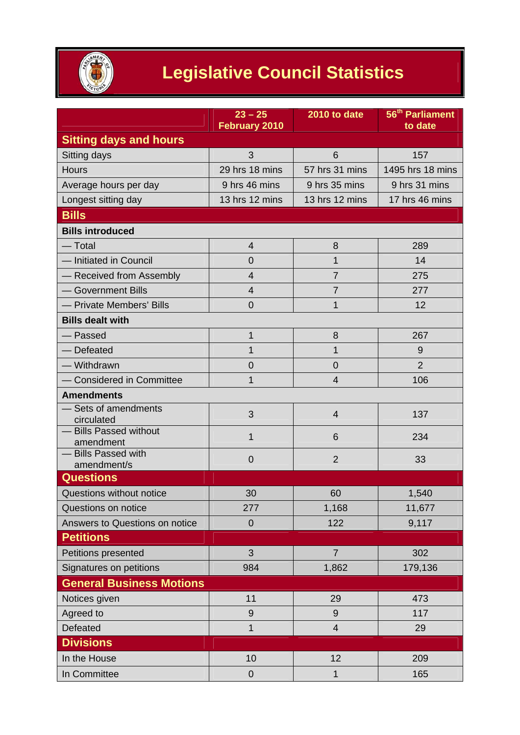

## **Legislative Council Statistics**

|                                     | $23 - 25$<br><b>February 2010</b> | 2010 to date   | 56 <sup>th</sup> Parliament<br>to date |
|-------------------------------------|-----------------------------------|----------------|----------------------------------------|
| <b>Sitting days and hours</b>       |                                   |                |                                        |
| Sitting days                        | 3                                 | 6              | 157                                    |
| <b>Hours</b>                        | 29 hrs 18 mins                    | 57 hrs 31 mins | 1495 hrs 18 mins                       |
| Average hours per day               | 9 hrs 46 mins                     | 9 hrs 35 mins  | 9 hrs 31 mins                          |
| Longest sitting day                 | 13 hrs 12 mins                    | 13 hrs 12 mins | 17 hrs 46 mins                         |
| <b>Bills</b>                        |                                   |                |                                        |
| <b>Bills introduced</b>             |                                   |                |                                        |
| — Total                             | $\overline{4}$                    | 8              | 289                                    |
| - Initiated in Council              | 0                                 | 1              | 14                                     |
| - Received from Assembly            | 4                                 | $\overline{7}$ | 275                                    |
| - Government Bills                  | 4                                 | $\overline{7}$ | 277                                    |
| - Private Members' Bills            | $\overline{0}$                    | 1              | 12                                     |
| <b>Bills dealt with</b>             |                                   |                |                                        |
| — Passed                            | $\mathbf{1}$                      | 8              | 267                                    |
| - Defeated                          | $\mathbf{1}$                      | 1              | 9                                      |
| - Withdrawn                         | 0                                 | $\overline{0}$ | $\overline{2}$                         |
| - Considered in Committee           | 1                                 | 4              | 106                                    |
| <b>Amendments</b>                   |                                   |                |                                        |
| - Sets of amendments<br>circulated  | 3                                 | $\overline{4}$ | 137                                    |
| - Bills Passed without<br>amendment | 1                                 | 6              | 234                                    |
| - Bills Passed with                 | $\mathbf 0$                       | $\overline{2}$ | 33                                     |
| amendment/s                         |                                   |                |                                        |
| <b>Questions</b>                    |                                   |                |                                        |
| Questions without notice            | 30                                | 60             | 1,540                                  |
| Questions on notice                 | 277                               | 1,168          | 11,677                                 |
| Answers to Questions on notice      | $\overline{0}$                    | 122            | 9,117                                  |
| <b>Petitions</b>                    |                                   |                |                                        |
| Petitions presented                 | 3                                 | $\overline{7}$ | 302                                    |
| Signatures on petitions             | 984                               | 1,862          | 179,136                                |
| <b>General Business Motions</b>     |                                   |                |                                        |
| Notices given                       | 11                                | 29             | 473                                    |
| Agreed to                           | $9$                               | 9              | 117                                    |
| Defeated                            | $\mathbf{1}$                      | $\overline{4}$ | 29                                     |
| <b>Divisions</b>                    |                                   |                |                                        |
| In the House                        | 10                                | 12             | 209                                    |
| In Committee                        | 0                                 | 1              | 165                                    |